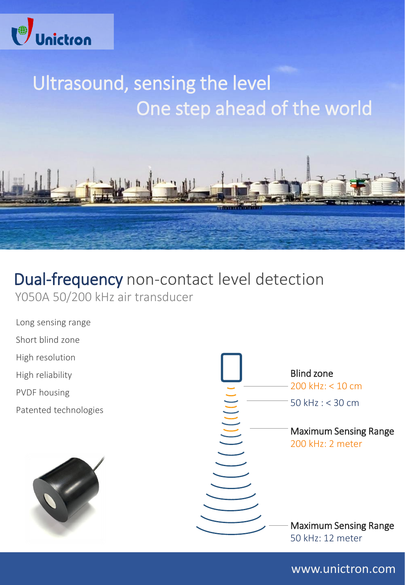

# Ultrasound, sensing the level One step ahead of the world



## Dual-frequency non-contact level detection Y050A 50/200 kHz air transducer

- Long sensing range
- Short blind zone
- High resolution
- High reliability
- PVDF housing
- Patented technologies





www.unictron.com